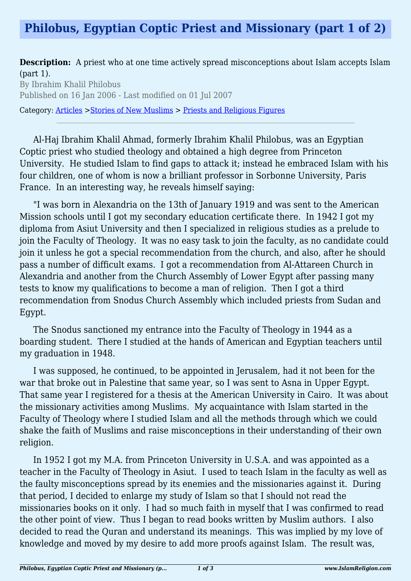**Description:** A priest who at one time actively spread misconceptions about Islam accepts Islam (part 1).

By Ibrahim Khalil Philobus Published on 16 Jan 2006 - Last modified on 01 Jul 2007

Category: [Articles](http://www.islamreligion.com/articles/) >[Stories of New Muslims](http://www.islamreligion.com/category/63/) > [Priests and Religious Figures](http://www.islamreligion.com/category/66/)

Al-Haj Ibrahim Khalil Ahmad, formerly Ibrahim Khalil Philobus, was an Egyptian Coptic priest who studied theology and obtained a high degree from Princeton University. He studied Islam to find gaps to attack it; instead he embraced Islam with his four children, one of whom is now a brilliant professor in Sorbonne University, Paris France. In an interesting way, he reveals himself saying:

"I was born in Alexandria on the 13th of January 1919 and was sent to the American Mission schools until I got my secondary education certificate there. In 1942 I got my diploma from Asiut University and then I specialized in religious studies as a prelude to join the Faculty of Theology. It was no easy task to join the faculty, as no candidate could join it unless he got a special recommendation from the church, and also, after he should pass a number of difficult exams. I got a recommendation from Al-Attareen Church in Alexandria and another from the Church Assembly of Lower Egypt after passing many tests to know my qualifications to become a man of religion. Then I got a third recommendation from Snodus Church Assembly which included priests from Sudan and Egypt.

The Snodus sanctioned my entrance into the Faculty of Theology in 1944 as a boarding student. There I studied at the hands of American and Egyptian teachers until my graduation in 1948.

I was supposed, he continued, to be appointed in Jerusalem, had it not been for the war that broke out in Palestine that same year, so I was sent to Asna in Upper Egypt. That same year I registered for a thesis at the American University in Cairo. It was about the missionary activities among Muslims. My acquaintance with Islam started in the Faculty of Theology where I studied Islam and all the methods through which we could shake the faith of Muslims and raise misconceptions in their understanding of their own religion.

In 1952 I got my M.A. from Princeton University in U.S.A. and was appointed as a teacher in the Faculty of Theology in Asiut. I used to teach Islam in the faculty as well as the faulty misconceptions spread by its enemies and the missionaries against it. During that period, I decided to enlarge my study of Islam so that I should not read the missionaries books on it only. I had so much faith in myself that I was confirmed to read the other point of view. Thus I began to read books written by Muslim authors. I also decided to read the Quran and understand its meanings. This was implied by my love of knowledge and moved by my desire to add more proofs against Islam. The result was,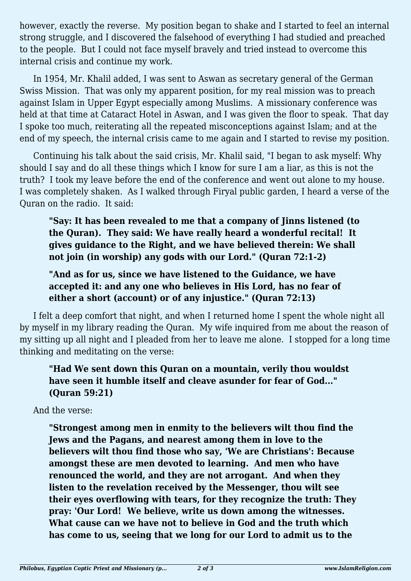however, exactly the reverse. My position began to shake and I started to feel an internal strong struggle, and I discovered the falsehood of everything I had studied and preached to the people. But I could not face myself bravely and tried instead to overcome this internal crisis and continue my work.

In 1954, Mr. Khalil added, I was sent to Aswan as secretary general of the German Swiss Mission. That was only my apparent position, for my real mission was to preach against Islam in Upper Egypt especially among Muslims. A missionary conference was held at that time at Cataract Hotel in Aswan, and I was given the floor to speak. That day I spoke too much, reiterating all the repeated misconceptions against Islam; and at the end of my speech, the internal crisis came to me again and I started to revise my position.

Continuing his talk about the said crisis, Mr. Khalil said, "I began to ask myself: Why should I say and do all these things which I know for sure I am a liar, as this is not the truth? I took my leave before the end of the conference and went out alone to my house. I was completely shaken. As I walked through Firyal public garden, I heard a verse of the Quran on the radio. It said:

**"Say: It has been revealed to me that a company of Jinns listened (to the Quran). They said: We have really heard a wonderful recital! It gives guidance to the Right, and we have believed therein: We shall not join (in worship) any gods with our Lord." (Quran 72:1-2)**

**"And as for us, since we have listened to the Guidance, we have accepted it: and any one who believes in His Lord, has no fear of either a short (account) or of any injustice." (Quran 72:13)**

I felt a deep comfort that night, and when I returned home I spent the whole night all by myself in my library reading the Quran. My wife inquired from me about the reason of my sitting up all night and I pleaded from her to leave me alone. I stopped for a long time thinking and meditating on the verse:

## **"Had We sent down this Quran on a mountain, verily thou wouldst have seen it humble itself and cleave asunder for fear of God..." (Quran 59:21)**

And the verse:

**"Strongest among men in enmity to the believers wilt thou find the Jews and the Pagans, and nearest among them in love to the believers wilt thou find those who say, 'We are Christians': Because amongst these are men devoted to learning. And men who have renounced the world, and they are not arrogant. And when they listen to the revelation received by the Messenger, thou wilt see their eyes overflowing with tears, for they recognize the truth: They pray: 'Our Lord! We believe, write us down among the witnesses. What cause can we have not to believe in God and the truth which has come to us, seeing that we long for our Lord to admit us to the**